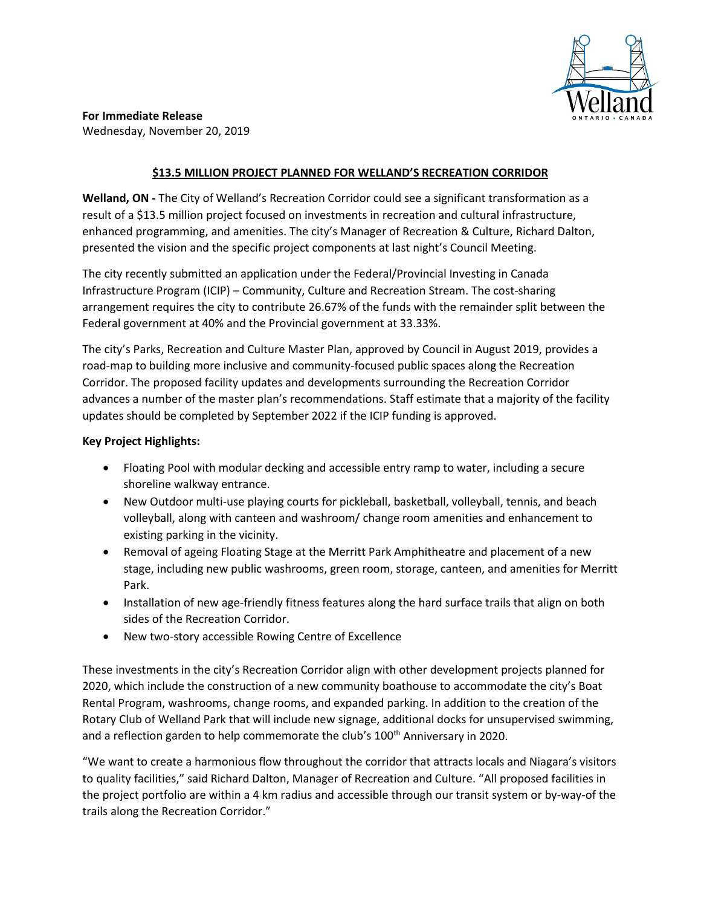

**For Immediate Release** Wednesday, November 20, 2019

## **\$13.5 MILLION PROJECT PLANNED FOR WELLAND'S RECREATION CORRIDOR**

**Welland, ON -** The City of Welland's Recreation Corridor could see a significant transformation as a result of a \$13.5 million project focused on investments in recreation and cultural infrastructure, enhanced programming, and amenities. The city's Manager of Recreation & Culture, Richard Dalton, presented the vision and the specific project components at last night's Council Meeting.

The city recently submitted an application under the Federal/Provincial Investing in Canada Infrastructure Program (ICIP) – Community, Culture and Recreation Stream. The cost-sharing arrangement requires the city to contribute 26.67% of the funds with the remainder split between the Federal government at 40% and the Provincial government at 33.33%.

The city's Parks, Recreation and Culture Master Plan, approved by Council in August 2019, provides a road-map to building more inclusive and community-focused public spaces along the Recreation Corridor. The proposed facility updates and developments surrounding the Recreation Corridor advances a number of the master plan's recommendations. Staff estimate that a majority of the facility updates should be completed by September 2022 if the ICIP funding is approved.

## **Key Project Highlights:**

- Floating Pool with modular decking and accessible entry ramp to water, including a secure shoreline walkway entrance.
- New Outdoor multi-use playing courts for pickleball, basketball, volleyball, tennis, and beach volleyball, along with canteen and washroom/ change room amenities and enhancement to existing parking in the vicinity.
- Removal of ageing Floating Stage at the Merritt Park Amphitheatre and placement of a new stage, including new public washrooms, green room, storage, canteen, and amenities for Merritt Park.
- Installation of new age-friendly fitness features along the hard surface trails that align on both sides of the Recreation Corridor.
- New two-story accessible Rowing Centre of Excellence

These investments in the city's Recreation Corridor align with other development projects planned for 2020, which include the construction of a new community boathouse to accommodate the city's Boat Rental Program, washrooms, change rooms, and expanded parking. In addition to the creation of the Rotary Club of Welland Park that will include new signage, additional docks for unsupervised swimming, and a reflection garden to help commemorate the club's 100<sup>th</sup> Anniversary in 2020.

"We want to create a harmonious flow throughout the corridor that attracts locals and Niagara's visitors to quality facilities," said Richard Dalton, Manager of Recreation and Culture. "All proposed facilities in the project portfolio are within a 4 km radius and accessible through our transit system or by-way-of the trails along the Recreation Corridor."